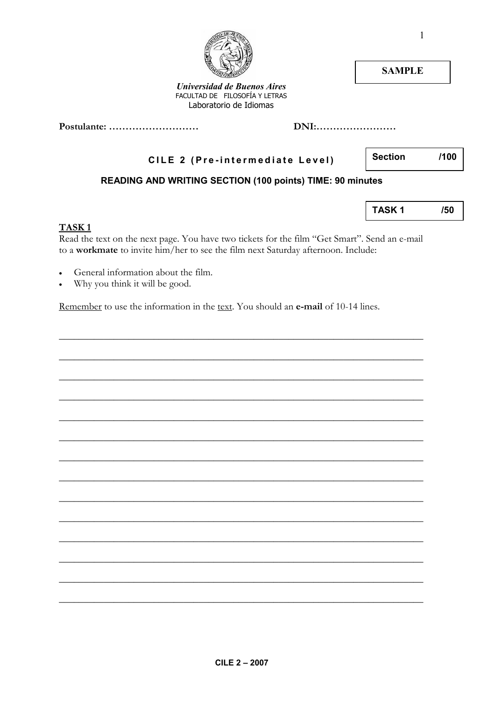## $\overline{\mathsf{R}}$

#### TASK<sub>1</sub>

- General  $\bullet$ 1at101 out the
- Why you think it will be good.  $\bullet$

Remember to use the information in the text. You should an e-mail of 10-14 lines.

|                                                                                                                                                                                                                |      | <b>SAMPLE</b>  |      |
|----------------------------------------------------------------------------------------------------------------------------------------------------------------------------------------------------------------|------|----------------|------|
| <b>Universidad de Buenos Aires</b><br>FACULTAD DE FILOSOFÍA Y LETRAS<br>Laboratorio de Idiomas                                                                                                                 |      |                |      |
| Postulante:                                                                                                                                                                                                    | DNI: |                |      |
| CILE 2 (Pre-intermediate Level)                                                                                                                                                                                |      | <b>Section</b> | /100 |
| <b>READING AND WRITING SECTION (100 points) TIME: 90 minutes</b>                                                                                                                                               |      |                |      |
|                                                                                                                                                                                                                |      | <b>TASK1</b>   | /50  |
| TASK <sub>1</sub><br>Read the text on the next page. You have two tickets for the film "Get Smart". Send an e-mail<br>to a <b>workmate</b> to invite him/her to see the film next Saturday afternoon. Include: |      |                |      |
| General information about the film.                                                                                                                                                                            |      |                |      |

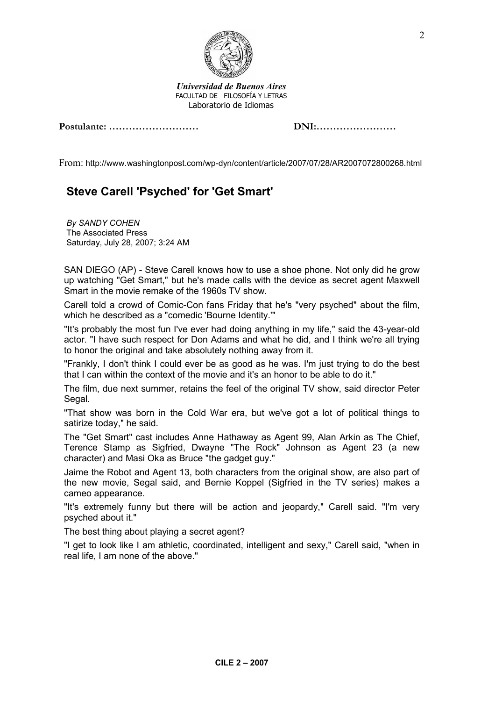

Universidad de Buenos Aires FACULTAD DE FILOSOFÍA Y LETRAS Laboratorio de Idiomas

#### Postulante: ……………………… DNI:……………………

From: http://www.washingtonpost.com/wp-dyn/content/article/2007/07/28/AR2007072800268.html

### Steve Carell 'Psyched' for 'Get Smart'

By SANDY COHEN The Associated Press Saturday, July 28, 2007; 3:24 AM

SAN DIEGO (AP) - Steve Carell knows how to use a shoe phone. Not only did he grow up watching "Get Smart," but he's made calls with the device as secret agent Maxwell Smart in the movie remake of the 1960s TV show.

Carell told a crowd of Comic-Con fans Friday that he's "very psyched" about the film, which he described as a "comedic 'Bourne Identity.'"

"It's probably the most fun I've ever had doing anything in my life," said the 43-year-old actor. "I have such respect for Don Adams and what he did, and I think we're all trying to honor the original and take absolutely nothing away from it.

"Frankly, I don't think I could ever be as good as he was. I'm just trying to do the best that I can within the context of the movie and it's an honor to be able to do it."

The film, due next summer, retains the feel of the original TV show, said director Peter Segal.

"That show was born in the Cold War era, but we've got a lot of political things to satirize today," he said.

The "Get Smart" cast includes Anne Hathaway as Agent 99, Alan Arkin as The Chief, Terence Stamp as Sigfried, Dwayne "The Rock" Johnson as Agent 23 (a new character) and Masi Oka as Bruce "the gadget guy."

Jaime the Robot and Agent 13, both characters from the original show, are also part of the new movie, Segal said, and Bernie Koppel (Sigfried in the TV series) makes a cameo appearance.

"It's extremely funny but there will be action and jeopardy," Carell said. "I'm very psyched about it."

The best thing about playing a secret agent?

"I get to look like I am athletic, coordinated, intelligent and sexy," Carell said, "when in real life, I am none of the above."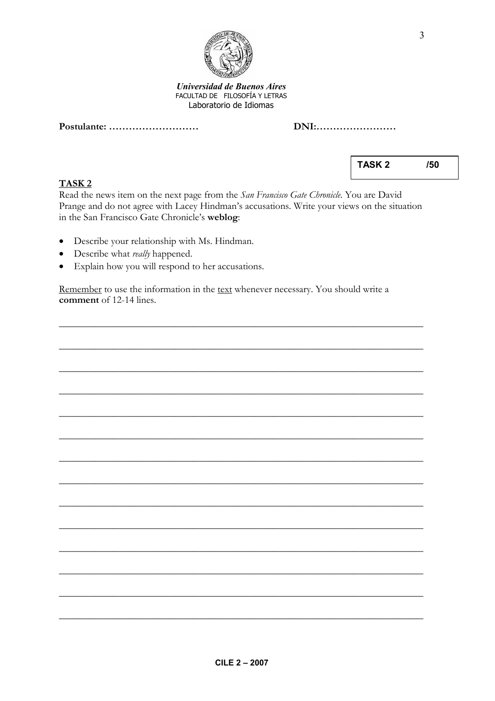

#### Universidad de Buenos Aires FACULTAD DE FILOSOFÍA Y LETRAS Laboratorio de Idiomas

Postulante: …………………………

| DNI: |  |
|------|--|
|      |  |

TASK 2

Read the news item on the next page from the San Francisco Gate Chronicle. You are David Prange and do not agree with Lacey Hindman's accusations. Write your views on the situation in the San Francisco Gate Chronicle's weblog:

- Describe your relationship with Ms. Hindman.
- Describe what *really* happened.
- Explain how you will respond to her accusations.

Remember to use the information in the text whenever necessary. You should write a comment of 12-14 lines.

\_\_\_\_\_\_\_\_\_\_\_\_\_\_\_\_\_\_\_\_\_\_\_\_\_\_\_\_\_\_\_\_\_\_\_\_\_\_\_\_\_\_\_\_\_\_\_\_\_\_\_\_\_\_\_\_\_\_\_\_\_\_\_\_\_\_\_\_\_\_\_\_\_

\_\_\_\_\_\_\_\_\_\_\_\_\_\_\_\_\_\_\_\_\_\_\_\_\_\_\_\_\_\_\_\_\_\_\_\_\_\_\_\_\_\_\_\_\_\_\_\_\_\_\_\_\_\_\_\_\_\_\_\_\_\_\_\_\_\_\_\_\_\_\_\_\_

\_\_\_\_\_\_\_\_\_\_\_\_\_\_\_\_\_\_\_\_\_\_\_\_\_\_\_\_\_\_\_\_\_\_\_\_\_\_\_\_\_\_\_\_\_\_\_\_\_\_\_\_\_\_\_\_\_\_\_\_\_\_\_\_\_\_\_\_\_\_\_\_\_

\_\_\_\_\_\_\_\_\_\_\_\_\_\_\_\_\_\_\_\_\_\_\_\_\_\_\_\_\_\_\_\_\_\_\_\_\_\_\_\_\_\_\_\_\_\_\_\_\_\_\_\_\_\_\_\_\_\_\_\_\_\_\_\_\_\_\_\_\_\_\_\_\_

\_\_\_\_\_\_\_\_\_\_\_\_\_\_\_\_\_\_\_\_\_\_\_\_\_\_\_\_\_\_\_\_\_\_\_\_\_\_\_\_\_\_\_\_\_\_\_\_\_\_\_\_\_\_\_\_\_\_\_\_\_\_\_\_\_\_\_\_\_\_\_\_\_

\_\_\_\_\_\_\_\_\_\_\_\_\_\_\_\_\_\_\_\_\_\_\_\_\_\_\_\_\_\_\_\_\_\_\_\_\_\_\_\_\_\_\_\_\_\_\_\_\_\_\_\_\_\_\_\_\_\_\_\_\_\_\_\_\_\_\_\_\_\_\_\_\_

\_\_\_\_\_\_\_\_\_\_\_\_\_\_\_\_\_\_\_\_\_\_\_\_\_\_\_\_\_\_\_\_\_\_\_\_\_\_\_\_\_\_\_\_\_\_\_\_\_\_\_\_\_\_\_\_\_\_\_\_\_\_\_\_\_\_\_\_\_\_\_\_\_

\_\_\_\_\_\_\_\_\_\_\_\_\_\_\_\_\_\_\_\_\_\_\_\_\_\_\_\_\_\_\_\_\_\_\_\_\_\_\_\_\_\_\_\_\_\_\_\_\_\_\_\_\_\_\_\_\_\_\_\_\_\_\_\_\_\_\_\_\_\_\_\_\_

\_\_\_\_\_\_\_\_\_\_\_\_\_\_\_\_\_\_\_\_\_\_\_\_\_\_\_\_\_\_\_\_\_\_\_\_\_\_\_\_\_\_\_\_\_\_\_\_\_\_\_\_\_\_\_\_\_\_\_\_\_\_\_\_\_\_\_\_\_\_\_\_\_

\_\_\_\_\_\_\_\_\_\_\_\_\_\_\_\_\_\_\_\_\_\_\_\_\_\_\_\_\_\_\_\_\_\_\_\_\_\_\_\_\_\_\_\_\_\_\_\_\_\_\_\_\_\_\_\_\_\_\_\_\_\_\_\_\_\_\_\_\_\_\_\_\_

\_\_\_\_\_\_\_\_\_\_\_\_\_\_\_\_\_\_\_\_\_\_\_\_\_\_\_\_\_\_\_\_\_\_\_\_\_\_\_\_\_\_\_\_\_\_\_\_\_\_\_\_\_\_\_\_\_\_\_\_\_\_\_\_\_\_\_\_\_\_\_\_\_

\_\_\_\_\_\_\_\_\_\_\_\_\_\_\_\_\_\_\_\_\_\_\_\_\_\_\_\_\_\_\_\_\_\_\_\_\_\_\_\_\_\_\_\_\_\_\_\_\_\_\_\_\_\_\_\_\_\_\_\_\_\_\_\_\_\_\_\_\_\_\_\_\_

\_\_\_\_\_\_\_\_\_\_\_\_\_\_\_\_\_\_\_\_\_\_\_\_\_\_\_\_\_\_\_\_\_\_\_\_\_\_\_\_\_\_\_\_\_\_\_\_\_\_\_\_\_\_\_\_\_\_\_\_\_\_\_\_\_\_\_\_\_\_\_\_\_

\_\_\_\_\_\_\_\_\_\_\_\_\_\_\_\_\_\_\_\_\_\_\_\_\_\_\_\_\_\_\_\_\_\_\_\_\_\_\_\_\_\_\_\_\_\_\_\_\_\_\_\_\_\_\_\_\_\_\_\_\_\_\_\_\_\_\_\_\_\_\_\_\_

TASK 2 /50